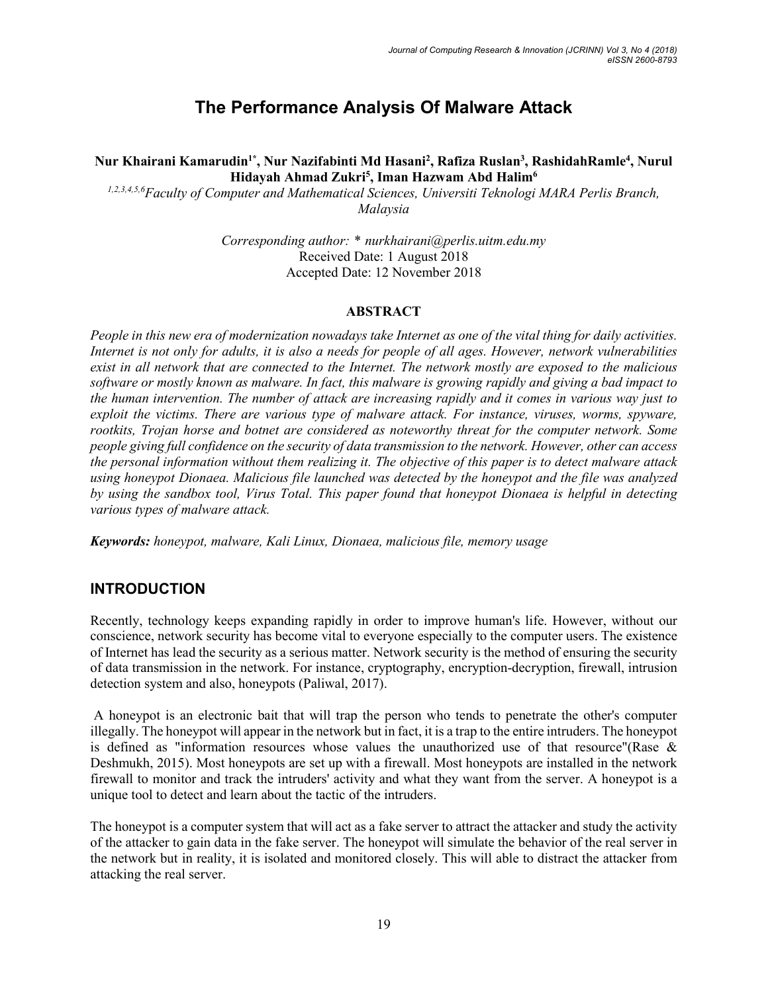# **The Performance Analysis Of Malware Attack**

Nur Khairani Kamarudin<sup>1\*</sup>, Nur Nazifabinti Md Hasani<sup>2</sup>, Rafiza Ruslan<sup>3</sup>, RashidahRamle<sup>4</sup>, Nurul **Hidayah Ahmad Zukri5 , Iman Hazwam Abd Halim6**

*1,2,3,4,5,6Faculty of Computer and Mathematical Sciences, Universiti Teknologi MARA Perlis Branch, Malaysia*

> *Corresponding author: \* nurkhairani@perlis.uitm.edu.my* Received Date: 1 August 2018 Accepted Date: 12 November 2018

#### **ABSTRACT**

*People in this new era of modernization nowadays take Internet as one of the vital thing for daily activities. Internet is not only for adults, it is also a needs for people of all ages. However, network vulnerabilities exist in all network that are connected to the Internet. The network mostly are exposed to the malicious software or mostly known as malware. In fact, this malware is growing rapidly and giving a bad impact to the human intervention. The number of attack are increasing rapidly and it comes in various way just to exploit the victims. There are various type of malware attack. For instance, viruses, worms, spyware, rootkits, Trojan horse and botnet are considered as noteworthy threat for the computer network. Some people giving full confidence on the security of data transmission to the network. However, other can access the personal information without them realizing it. The objective of this paper is to detect malware attack using honeypot Dionaea. Malicious file launched was detected by the honeypot and the file was analyzed by using the sandbox tool, Virus Total. This paper found that honeypot Dionaea is helpful in detecting various types of malware attack.*

*Keywords: honeypot, malware, Kali Linux, Dionaea, malicious file, memory usage*

## **INTRODUCTION**

Recently, technology keeps expanding rapidly in order to improve human's life. However, without our conscience, network security has become vital to everyone especially to the computer users. The existence of Internet has lead the security as a serious matter. Network security is the method of ensuring the security of data transmission in the network. For instance, cryptography, encryption-decryption, firewall, intrusion detection system and also, honeypots (Paliwal, 2017).

A honeypot is an electronic bait that will trap the person who tends to penetrate the other's computer illegally. The honeypot will appear in the network but in fact, it is a trap to the entire intruders. The honeypot is defined as "information resources whose values the unauthorized use of that resource"(Rase  $\&$ Deshmukh, 2015). Most honeypots are set up with a firewall. Most honeypots are installed in the network firewall to monitor and track the intruders' activity and what they want from the server. A honeypot is a unique tool to detect and learn about the tactic of the intruders.

The honeypot is a computer system that will act as a fake server to attract the attacker and study the activity of the attacker to gain data in the fake server. The honeypot will simulate the behavior of the real server in the network but in reality, it is isolated and monitored closely. This will able to distract the attacker from attacking the real server.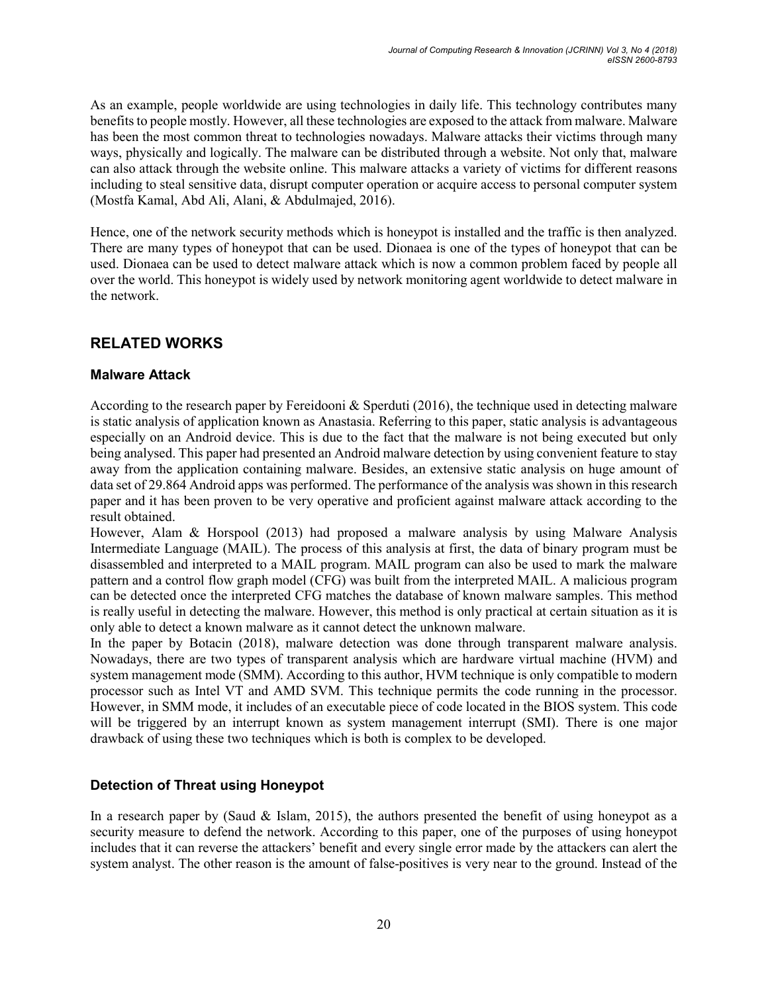As an example, people worldwide are using technologies in daily life. This technology contributes many benefits to people mostly. However, all these technologies are exposed to the attack from malware. Malware has been the most common threat to technologies nowadays. Malware attacks their victims through many ways, physically and logically. The malware can be distributed through a website. Not only that, malware can also attack through the website online. This malware attacks a variety of victims for different reasons including to steal sensitive data, disrupt computer operation or acquire access to personal computer system (Mostfa Kamal, Abd Ali, Alani, & Abdulmajed, 2016).

Hence, one of the network security methods which is honeypot is installed and the traffic is then analyzed. There are many types of honeypot that can be used. Dionaea is one of the types of honeypot that can be used. Dionaea can be used to detect malware attack which is now a common problem faced by people all over the world. This honeypot is widely used by network monitoring agent worldwide to detect malware in the network.

# **RELATED WORKS**

#### **Malware Attack**

According to the research paper by Fereidooni & Sperduti (2016), the technique used in detecting malware is static analysis of application known as Anastasia. Referring to this paper, static analysis is advantageous especially on an Android device. This is due to the fact that the malware is not being executed but only being analysed. This paper had presented an Android malware detection by using convenient feature to stay away from the application containing malware. Besides, an extensive static analysis on huge amount of data set of 29.864 Android apps was performed. The performance of the analysis was shown in this research paper and it has been proven to be very operative and proficient against malware attack according to the result obtained.

However, Alam & Horspool (2013) had proposed a malware analysis by using Malware Analysis Intermediate Language (MAIL). The process of this analysis at first, the data of binary program must be disassembled and interpreted to a MAIL program. MAIL program can also be used to mark the malware pattern and a control flow graph model (CFG) was built from the interpreted MAIL. A malicious program can be detected once the interpreted CFG matches the database of known malware samples. This method is really useful in detecting the malware. However, this method is only practical at certain situation as it is only able to detect a known malware as it cannot detect the unknown malware.

In the paper by Botacin (2018), malware detection was done through transparent malware analysis. Nowadays, there are two types of transparent analysis which are hardware virtual machine (HVM) and system management mode (SMM). According to this author, HVM technique is only compatible to modern processor such as Intel VT and AMD SVM. This technique permits the code running in the processor. However, in SMM mode, it includes of an executable piece of code located in the BIOS system. This code will be triggered by an interrupt known as system management interrupt (SMI). There is one major drawback of using these two techniques which is both is complex to be developed.

## **Detection of Threat using Honeypot**

In a research paper by (Saud & Islam, 2015), the authors presented the benefit of using honeypot as a security measure to defend the network. According to this paper, one of the purposes of using honeypot includes that it can reverse the attackers' benefit and every single error made by the attackers can alert the system analyst. The other reason is the amount of false-positives is very near to the ground. Instead of the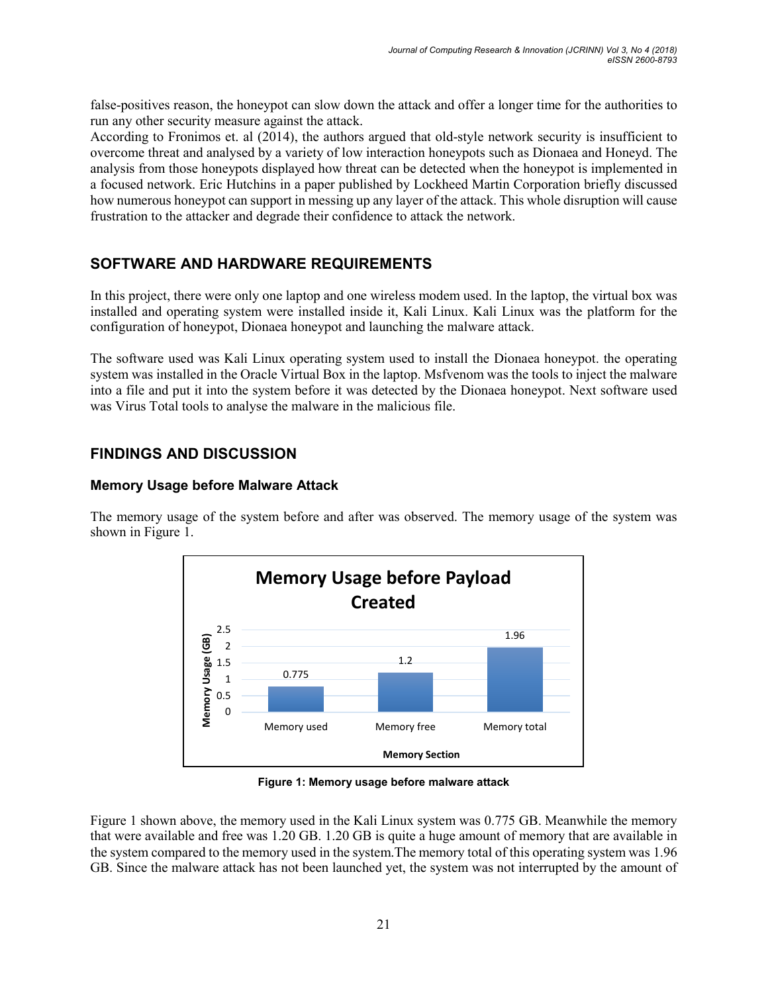false-positives reason, the honeypot can slow down the attack and offer a longer time for the authorities to run any other security measure against the attack.

According to Fronimos et. al (2014), the authors argued that old-style network security is insufficient to overcome threat and analysed by a variety of low interaction honeypots such as Dionaea and Honeyd. The analysis from those honeypots displayed how threat can be detected when the honeypot is implemented in a focused network. Eric Hutchins in a paper published by Lockheed Martin Corporation briefly discussed how numerous honeypot can support in messing up any layer of the attack. This whole disruption will cause frustration to the attacker and degrade their confidence to attack the network.

# **SOFTWARE AND HARDWARE REQUIREMENTS**

In this project, there were only one laptop and one wireless modem used. In the laptop, the virtual box was installed and operating system were installed inside it, Kali Linux. Kali Linux was the platform for the configuration of honeypot, Dionaea honeypot and launching the malware attack.

The software used was Kali Linux operating system used to install the Dionaea honeypot. the operating system was installed in the Oracle Virtual Box in the laptop. Msfvenom was the tools to inject the malware into a file and put it into the system before it was detected by the Dionaea honeypot. Next software used was Virus Total tools to analyse the malware in the malicious file.

# **FINDINGS AND DISCUSSION**

#### **Memory Usage before Malware Attack**

The memory usage of the system before and after was observed. The memory usage of the system was shown in Figure 1.



**Figure 1: Memory usage before malware attack**

Figure 1 shown above, the memory used in the Kali Linux system was 0.775 GB. Meanwhile the memory that were available and free was 1.20 GB. 1.20 GB is quite a huge amount of memory that are available in the system compared to the memory used in the system.The memory total of this operating system was 1.96 GB. Since the malware attack has not been launched yet, the system was not interrupted by the amount of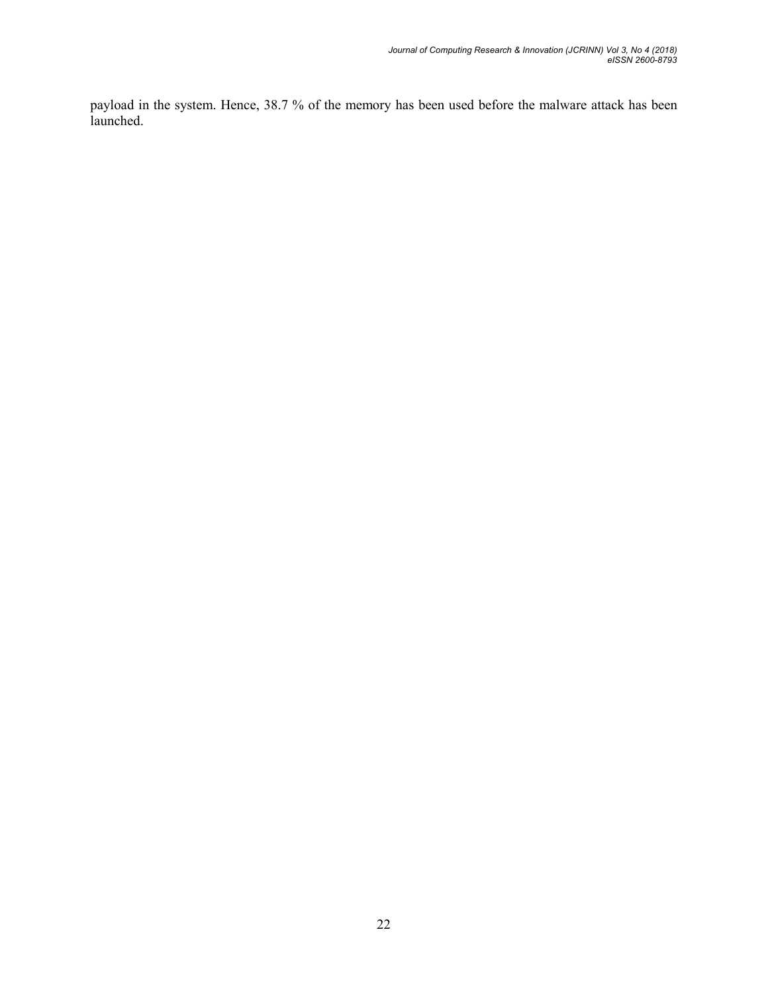payload in the system. Hence, 38.7 % of the memory has been used before the malware attack has been launched.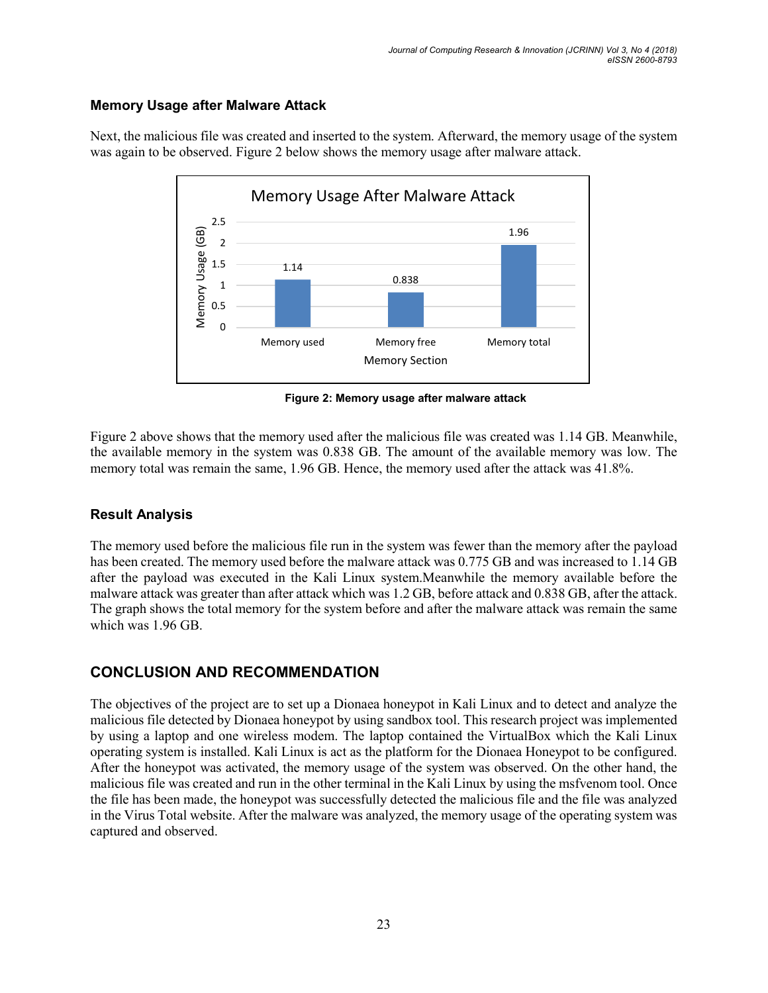#### **Memory Usage after Malware Attack**



Next, the malicious file was created and inserted to the system. Afterward, the memory usage of the system was again to be observed. Figure 2 below shows the memory usage after malware attack.

 **Figure 2: Memory usage after malware attack**

Figure 2 above shows that the memory used after the malicious file was created was 1.14 GB. Meanwhile, the available memory in the system was 0.838 GB. The amount of the available memory was low. The memory total was remain the same, 1.96 GB. Hence, the memory used after the attack was 41.8%.

## **Result Analysis**

The memory used before the malicious file run in the system was fewer than the memory after the payload has been created. The memory used before the malware attack was 0.775 GB and was increased to 1.14 GB after the payload was executed in the Kali Linux system.Meanwhile the memory available before the malware attack was greater than after attack which was 1.2 GB, before attack and 0.838 GB, after the attack. The graph shows the total memory for the system before and after the malware attack was remain the same which was 1.96 GB.

# **CONCLUSION AND RECOMMENDATION**

The objectives of the project are to set up a Dionaea honeypot in Kali Linux and to detect and analyze the malicious file detected by Dionaea honeypot by using sandbox tool. This research project was implemented by using a laptop and one wireless modem. The laptop contained the VirtualBox which the Kali Linux operating system is installed. Kali Linux is act as the platform for the Dionaea Honeypot to be configured. After the honeypot was activated, the memory usage of the system was observed. On the other hand, the malicious file was created and run in the other terminal in the Kali Linux by using the msfvenom tool. Once the file has been made, the honeypot was successfully detected the malicious file and the file was analyzed in the Virus Total website. After the malware was analyzed, the memory usage of the operating system was captured and observed.